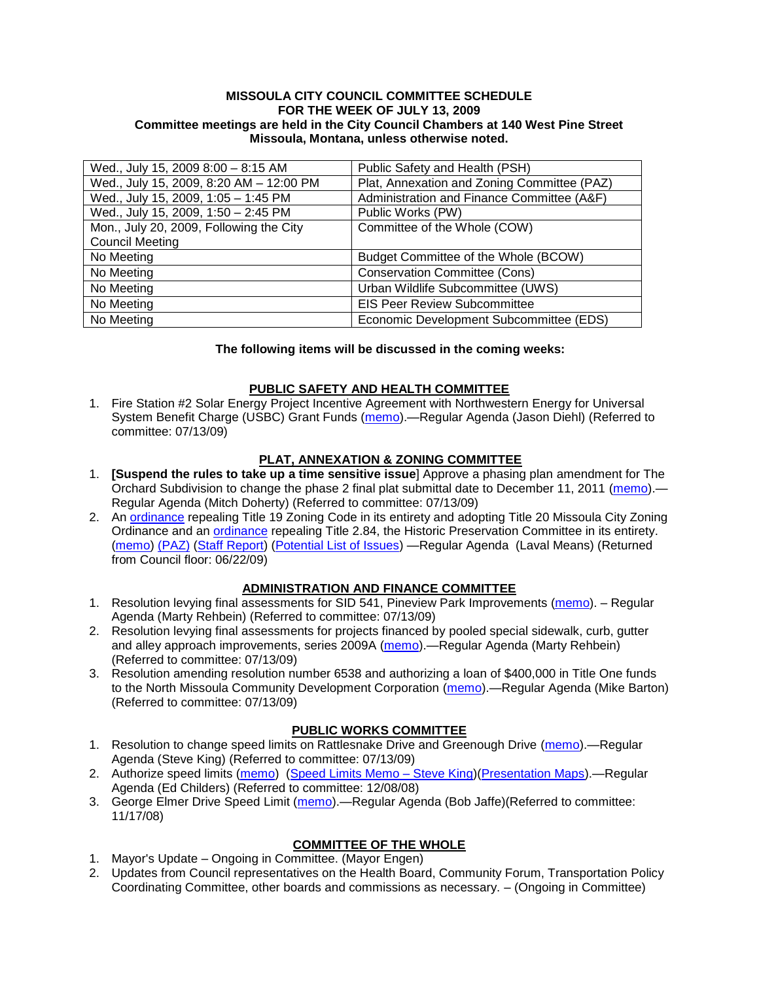#### **MISSOULA CITY COUNCIL COMMITTEE SCHEDULE FOR THE WEEK OF JULY 13, 2009 Committee meetings are held in the City Council Chambers at 140 West Pine Street Missoula, Montana, unless otherwise noted.**

| Wed., July 15, 2009 8:00 - 8:15 AM      | Public Safety and Health (PSH)              |
|-----------------------------------------|---------------------------------------------|
| Wed., July 15, 2009, 8:20 AM - 12:00 PM | Plat, Annexation and Zoning Committee (PAZ) |
| Wed., July 15, 2009, 1:05 - 1:45 PM     | Administration and Finance Committee (A&F)  |
| Wed., July 15, 2009, 1:50 - 2:45 PM     | Public Works (PW)                           |
| Mon., July 20, 2009, Following the City | Committee of the Whole (COW)                |
| <b>Council Meeting</b>                  |                                             |
| No Meeting                              | Budget Committee of the Whole (BCOW)        |
| No Meeting                              | <b>Conservation Committee (Cons)</b>        |
| No Meeting                              | Urban Wildlife Subcommittee (UWS)           |
| No Meeting                              | <b>EIS Peer Review Subcommittee</b>         |
| No Meeting                              | Economic Development Subcommittee (EDS)     |

#### **The following items will be discussed in the coming weeks:**

### **PUBLIC SAFETY AND HEALTH COMMITTEE**

1. Fire Station #2 Solar Energy Project Incentive Agreement with Northwestern Energy for Universal System Benefit Charge (USBC) Grant Funds [\(memo\)](http://www.ci.missoula.mt.us/DocumentView.aspx?DID=1787).—Regular Agenda (Jason Diehl) (Referred to committee: 07/13/09)

## **PLAT, ANNEXATION & ZONING COMMITTEE**

- 1. **[Suspend the rules to take up a time sensitive issue**] Approve a phasing plan amendment for The Orchard Subdivision to change the phase 2 final plat submittal date to December 11, 2011 [\(memo\)](http://www.ci.missoula.mt.us/DocumentView.aspx?DID=1802).— Regular Agenda (Mitch Doherty) (Referred to committee: 07/13/09)
- 2. An [ordinance](http://www.ci.missoula.mt.us/DocumentView.aspx?DID=1280) repealing Title 19 Zoning Code in its entirety and adopting Title 20 Missoula City Zoning Ordinance and an [ordinance](http://www.ci.missoula.mt.us/DocumentView.aspx?DID=1274) repealing Title 2.84, the Historic Preservation Committee in its entirety. [\(memo\)](http://www.ci.missoula.mt.us/DocumentView.aspx?DID=1620) [\(PAZ\)](http://www.ci.missoula.mt.us/Archive.aspx?ADID=559) [\(Staff Report\)](http://www.ci.missoula.mt.us/DocumentView.aspx?DID=1642) [\(Potential List of Issues\)](http://www.ci.missoula.mt.us/DocumentView.aspx?DID=1707) —Regular Agenda (Laval Means) (Returned from Council floor: 06/22/09)

### **ADMINISTRATION AND FINANCE COMMITTEE**

- 1. Resolution levying final assessments for SID 541, Pineview Park Improvements [\(memo\)](http://www.ci.missoula.mt.us/DocumentView.aspx?DID=1797). Regular Agenda (Marty Rehbein) (Referred to committee: 07/13/09)
- 2. Resolution levying final assessments for projects financed by pooled special sidewalk, curb, gutter and alley approach improvements, series 2009A [\(memo\)](http://www.ci.missoula.mt.us/DocumentView.aspx?DID=1798).—Regular Agenda (Marty Rehbein) (Referred to committee: 07/13/09)
- 3. Resolution amending resolution number 6538 and authorizing a loan of \$400,000 in Title One funds to the North Missoula Community Development Corporation [\(memo\)](http://www.ci.missoula.mt.us/DocumentView.aspx?DID=1801).—Regular Agenda (Mike Barton) (Referred to committee: 07/13/09)

#### **PUBLIC WORKS COMMITTEE**

- 1. Resolution to change speed limits on Rattlesnake Drive and Greenough Drive [\(memo\)](http://www.ci.missoula.mt.us/DocumentView.aspx?DID=1796).—Regular Agenda (Steve King) (Referred to committee: 07/13/09)
- 2. Authorize speed limits [\(memo\)](ftp://ftp.ci.missoula.mt.us/Packets/Council/2008/2008-12-08/Referrals/ReferralAuthorizeSpeedLimits.pdf) (Speed Limits Memo Steve King)[\(Presentation Maps\)](ftp://ftp.ci.missoula.mt.us/packets/council/2009/2009-01-05/Referrals/SpeedPresentation.pdf). Regular Agenda (Ed Childers) (Referred to committee: 12/08/08)
- 3. George Elmer Drive Speed Limit [\(memo\)](ftp://ftp.ci.missoula.mt.us/Packets/Council/2008/2008-11-17/Referrals/GeorgeElmerSpeedLimit.pdf).—Regular Agenda (Bob Jaffe)(Referred to committee: 11/17/08)

# **COMMITTEE OF THE WHOLE**

- 1. Mayor's Update Ongoing in Committee. (Mayor Engen)
- 2. Updates from Council representatives on the Health Board, Community Forum, Transportation Policy Coordinating Committee, other boards and commissions as necessary. – (Ongoing in Committee)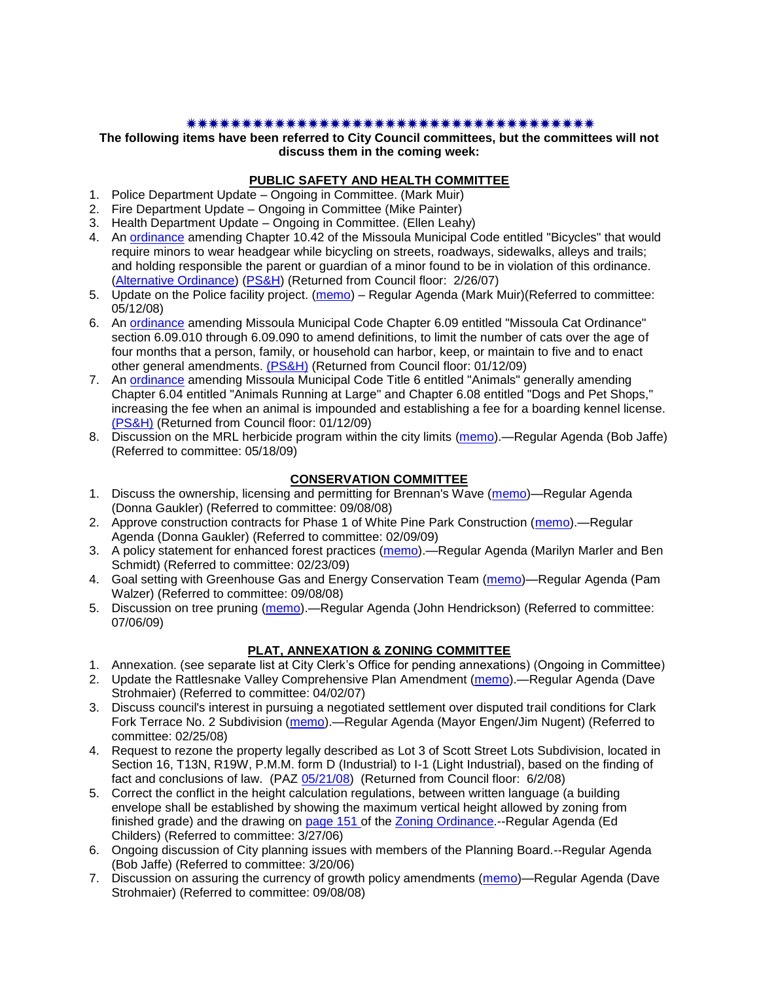#### 

**The following items have been referred to City Council committees, but the committees will not discuss them in the coming week:**

#### **PUBLIC SAFETY AND HEALTH COMMITTEE**

- 1. Police Department Update Ongoing in Committee. (Mark Muir)
- 2. Fire Department Update Ongoing in Committee (Mike Painter)
- 3. Health Department Update Ongoing in Committee. (Ellen Leahy)
- 4. An [ordinance](ftp://ftp.ci.missoula.mt.us/Packets/Council/2007/2007-02-05/07-01-31 Helmet and bikes psh.htm) amending Chapter 10.42 of the Missoula Municipal Code entitled "Bicycles" that would require minors to wear headgear while bicycling on streets, roadways, sidewalks, alleys and trails; and holding responsible the parent or guardian of a minor found to be in violation of this ordinance. [\(Alternative Ordinance\)](ftp://ftp.ci.missoula.mt.us/Packets/Council/2007/2007-02-26/07-02-19_Alternative_Helmet_and_bikes.htm) [\(PS&H\)](ftp://ftp.ci.missoula.mt.us/Packets/Council/2007/2007-02-05/070131psh.pdf) (Returned from Council floor: 2/26/07)
- 5. Update on the Police facility project. [\(memo\)](ftp://ftp.ci.missoula.mt.us/Packets/Council/2008/2008-05-12/Referrals/Buildingpresentationreferral.htm) Regular Agenda (Mark Muir)(Referred to committee: 05/12/08)
- 6. An [ordinance](ftp://ftp.ci.missoula.mt.us/Packets/Council/2008/2008-12-15/2008CatOrdinanceAmendment%5B1%5D.pdf) amending Missoula Municipal Code Chapter 6.09 entitled "Missoula Cat Ordinance" section 6.09.010 through 6.09.090 to amend definitions, to limit the number of cats over the age of four months that a person, family, or household can harbor, keep, or maintain to five and to enact other general amendments. [\(PS&H\)](ftp://ftp.ci.missoula.mt.us/Packets/Council/2008/2008-12-15/081210psh.pdf) (Returned from Council floor: 01/12/09)
- 7. An [ordinance](ftp://ftp.ci.missoula.mt.us/Packets/Council/2008/2008-12-15/DogOrdinance--PSHrevisions.pdf) amending Missoula Municipal Code Title 6 entitled "Animals" generally amending Chapter 6.04 entitled "Animals Running at Large" and Chapter 6.08 entitled "Dogs and Pet Shops," increasing the fee when an animal is impounded and establishing a fee for a boarding kennel license. [\(PS&H\)](ftp://ftp.ci.missoula.mt.us/Packets/Council/2008/2008-12-15/081210psh.pdf) (Returned from Council floor: 01/12/09)
- 8. Discussion on the MRL herbicide program within the city limits [\(memo\)](ftp://ftp.ci.missoula.mt.us/Packets/Council/2009/2009-05-18/Referrals/MRLWeedSprayingReferral.pdf).—Regular Agenda (Bob Jaffe) (Referred to committee: 05/18/09)

## **CONSERVATION COMMITTEE**

- 1. Discuss the ownership, licensing and permitting for Brennan's Wave [\(memo\)](ftp://ftp.ci.missoula.mt.us/Packets/Council/2008/2008-09-08/Referrals/ReferralBrennansWaveLicensing.pdf)—Regular Agenda (Donna Gaukler) (Referred to committee: 09/08/08)
- 2. Approve construction contracts for Phase 1 of White Pine Park Construction [\(memo\)](ftp://ftp.ci.missoula.mt.us/Packets/Council/2009/2009-02-09/Referrals/ReferralWhitePinePark(2).pdf).—Regular Agenda (Donna Gaukler) (Referred to committee: 02/09/09)
- 3. A policy statement for enhanced forest practices [\(memo\)](ftp://ftp.ci.missoula.mt.us/Packets/Council/2009/2009-02-23/Referrals/Forest_Practices_Referral.pdf).—Regular Agenda (Marilyn Marler and Ben Schmidt) (Referred to committee: 02/23/09)
- 4. Goal setting with Greenhouse Gas and Energy Conservation Team [\(memo\)](ftp://ftp.ci.missoula.mt.us/Packets/Council/2008/2008-09-08/Referrals/GGECTdialog.pdf)—Regular Agenda (Pam Walzer) (Referred to committee: 09/08/08)
- 5. Discussion on tree pruning [\(memo\)](http://www.ci.missoula.mt.us/DocumentView.aspx?DID=1691).—Regular Agenda (John Hendrickson) (Referred to committee: 07/06/09)

### **PLAT, ANNEXATION & ZONING COMMITTEE**

- 1. Annexation. (see separate list at City Clerk's Office for pending annexations) (Ongoing in Committee)
- 2. Update the Rattlesnake Valley Comprehensive Plan Amendment [\(memo\)](ftp://ftp.ci.missoula.mt.us/Packets/Council/2007/2007-04-02/Referrals/Rattlesnake_Plan_Update_referral.pdf).—Regular Agenda (Dave Strohmaier) (Referred to committee: 04/02/07)
- 3. Discuss council's interest in pursuing a negotiated settlement over disputed trail conditions for Clark Fork Terrace No. 2 Subdivision [\(memo\)](ftp://ftp.ci.missoula.mt.us/Packets/Council/2008/2008-02-25/Referrals/Clark_Fork_Terrace_2.pdf).—Regular Agenda (Mayor Engen/Jim Nugent) (Referred to committee: 02/25/08)
- 4. Request to rezone the property legally described as Lot 3 of Scott Street Lots Subdivision, located in Section 16, T13N, R19W, P.M.M. form D (Industrial) to I-1 (Light Industrial), based on the finding of fact and conclusions of law. (PAZ [05/21/08\)](ftp://ftp.ci.missoula.mt.us/Packets/Council/2008/2008-06-02/080521paz.pdf) (Returned from Council floor: 6/2/08)
- 5. Correct the conflict in the height calculation regulations, between written language (a building envelope shall be established by showing the maximum vertical height allowed by zoning from finished grade) and the drawing on [page 151 o](ftp://www.co.missoula.mt.us/opg2/Documents/CurrentRegulations/CityZoningTitle19/CH19.67Hillside.pdf)f the [Zoning Ordinance.](ftp://www.co.missoula.mt.us/opg2/Documents/CurrentRegulations/CityZoningTitle19/CityOrdinanceLP.htm)--Regular Agenda (Ed Childers) (Referred to committee: 3/27/06)
- 6. Ongoing discussion of City planning issues with members of the Planning Board.--Regular Agenda (Bob Jaffe) (Referred to committee: 3/20/06)
- 7. Discussion on assuring the currency of growth policy amendments [\(memo\)](ftp://ftp.ci.missoula.mt.us/Packets/Council/2008/2008-09-08/Referrals/Plan_updates.pdf)—Regular Agenda (Dave Strohmaier) (Referred to committee: 09/08/08)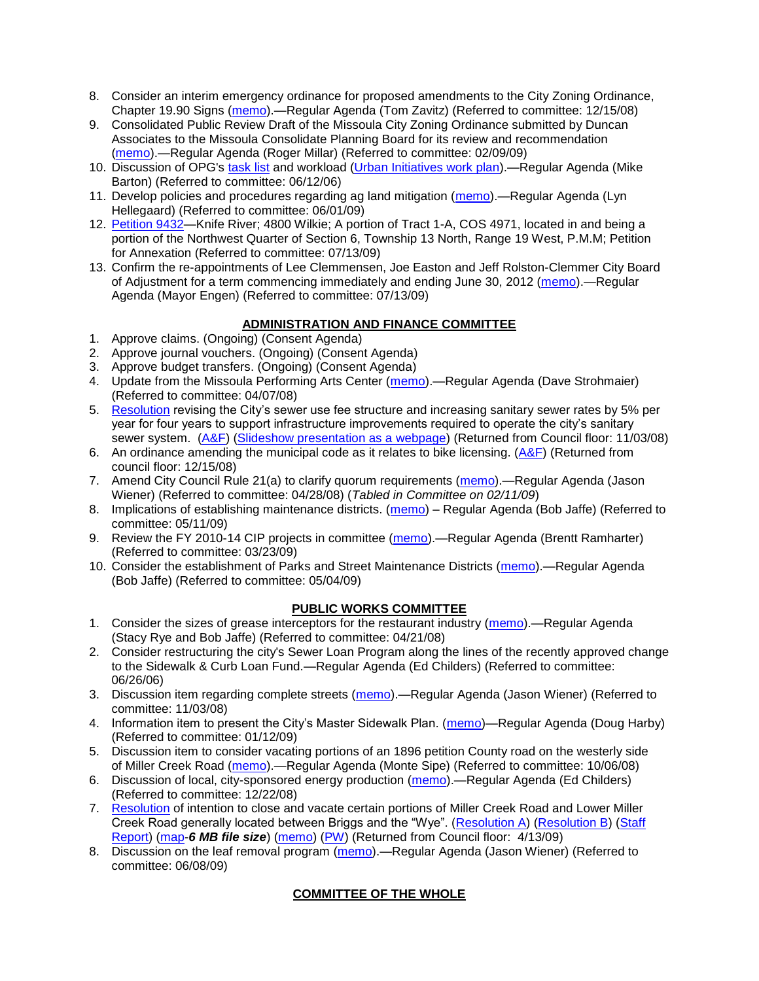- 8. Consider an interim emergency ordinance for proposed amendments to the City Zoning Ordinance, Chapter 19.90 Signs [\(memo\)](ftp://ftp.ci.missoula.mt.us/Packets/Council/2008/2008-12-15/Referrals/ElectronicSignOrdinanceMemo.pdf).—Regular Agenda (Tom Zavitz) (Referred to committee: 12/15/08)
- 9. Consolidated Public Review Draft of the Missoula City Zoning Ordinance submitted by Duncan Associates to the Missoula Consolidate Planning Board for its review and recommendation [\(memo\)](ftp://ftp.ci.missoula.mt.us/Packets/Council/2009/2009-02-09/Referrals/CodeRewritetoPBMemo.pdf).—Regular Agenda (Roger Millar) (Referred to committee: 02/09/09)
- 10. Discussion of OPG's [task list](ftp://ftp.ci.missoula.mt.us/Packets/Council/2008/2008-07-07/UITaskList.pdf) and workload [\(Urban Initiatives work plan\)](ftp://ftp.ci.missoula.mt.us/Packets/Council/2006/2006-06-12/Referrals/Urban_Init.htm).—Regular Agenda (Mike Barton) (Referred to committee: 06/12/06)
- 11. Develop policies and procedures regarding ag land mitigation [\(memo\)](http://www.ci.missoula.mt.us/DocumentView.aspx?DID=1272).—Regular Agenda (Lyn Hellegaard) (Referred to committee: 06/01/09)
- 12. Petition 9432-Knife River; 4800 Wilkie; A portion of Tract 1-A, COS 4971, located in and being a portion of the Northwest Quarter of Section 6, Township 13 North, Range 19 West, P.M.M; Petition for Annexation (Referred to committee: 07/13/09)
- 13. Confirm the re-appointments of Lee Clemmensen, Joe Easton and Jeff Rolston-Clemmer City Board of Adjustment for a term commencing immediately and ending June 30, 2012 [\(memo\)](http://www.ci.missoula.mt.us/DocumentView.aspx?DID=1791).—Regular Agenda (Mayor Engen) (Referred to committee: 07/13/09)

## **ADMINISTRATION AND FINANCE COMMITTEE**

- 1. Approve claims. (Ongoing) (Consent Agenda)
- 2. Approve journal vouchers. (Ongoing) (Consent Agenda)
- 3. Approve budget transfers. (Ongoing) (Consent Agenda)
- 4. Update from the Missoula Performing Arts Center [\(memo\)](ftp://ftp.ci.missoula.mt.us/Packets/Council/2008/2008-04-07/Referrals/Performing_Arts_Center.pdf).—Regular Agenda (Dave Strohmaier) (Referred to committee: 04/07/08)
- 5. [Resolution](ftp://ftp.ci.missoula.mt.us/Packets/Council/2008/2008-09-22/referrals/Sewerrateresolution.pdf) revising the City's sewer use fee structure and increasing sanitary sewer rates by 5% per year for four years to support infrastructure improvements required to operate the city's sanitary sewer system. [\(A&F\)](ftp://ftp.ci.missoula.mt.us/Packets/Council/2008/2008-10-06/081001af.pdf) [\(Slideshow presentation as a webpage\)](ftp://ftp.ci.missoula.mt.us/Packets/Council/2008/2008-11-03/2008-11-03SewerUserRateIncrease_files/frame.htm) (Returned from Council floor: 11/03/08)
- 6. An ordinance amending the municipal code as it relates to bike licensing. [\(A&F\)](ftp://ftp.ci.missoula.mt.us/Packets/Council/2008/2008-12-15/081210af.pdf) (Returned from council floor: 12/15/08)
- 7. Amend City Council Rule 21(a) to clarify quorum requirements [\(memo\)](ftp://ftp.ci.missoula.mt.us/Packets/Council/2008/2008-04-28/Referrals/CouncilRule21aReferral.pdf).—Regular Agenda (Jason Wiener) (Referred to committee: 04/28/08) (*Tabled in Committee on 02/11/09*)
- 8. Implications of establishing maintenance districts. [\(memo\)](ftp://ftp.ci.missoula.mt.us/Packets/Council/2009/2009-05-11/Referrals/MaintenanceDistricts.pdf) Regular Agenda (Bob Jaffe) (Referred to committee: 05/11/09)
- 9. Review the FY 2010-14 CIP projects in committee [\(memo\)](ftp://ftp.ci.missoula.mt.us/Packets/Council/2009/2009-03-23/Referrals/RefAFCIPBudgetReviewFY2010-2014CIP.pdf).—Regular Agenda (Brentt Ramharter) (Referred to committee: 03/23/09)
- 10. Consider the establishment of Parks and Street Maintenance Districts [\(memo\)](ftp://ftp.ci.missoula.mt.us/Packets/Council/2009/2009-05-04/Referrals/MaintenanceDistricts.pdf).—Regular Agenda (Bob Jaffe) (Referred to committee: 05/04/09)

# **PUBLIC WORKS COMMITTEE**

- 1. Consider the sizes of grease interceptors for the restaurant industry [\(memo\)](ftp://ftp.ci.missoula.mt.us/Packets/Council/2008/2008-04-21/Referrals/Industrial_waste_restaurants.pdf).—Regular Agenda (Stacy Rye and Bob Jaffe) (Referred to committee: 04/21/08)
- 2. Consider restructuring the city's Sewer Loan Program along the lines of the recently approved change to the Sidewalk & Curb Loan Fund.—Regular Agenda (Ed Childers) (Referred to committee: 06/26/06)
- 3. Discussion item regarding complete streets [\(memo\)](ftp://ftp.ci.missoula.mt.us/Packets/Council/2008/2008-11-03/Referrals/completestreetsreferral.pdf).—Regular Agenda (Jason Wiener) (Referred to committee: 11/03/08)
- 4. Information item to present the City's Master Sidewalk Plan. [\(memo\)](ftp://ftp.ci.missoula.mt.us/packets/council/2009/2009-01-12/Referrals/MstrSdwlkPlnREF.pdf)—Regular Agenda (Doug Harby) (Referred to committee: 01/12/09)
- 5. Discussion item to consider vacating portions of an 1896 petition County road on the westerly side of Miller Creek Road [\(memo\)](ftp://ftp.ci.missoula.mt.us/packets/council/2008/2008-10-06/Referrals/MllrCkROWVacREF.pdf).—Regular Agenda (Monte Sipe) (Referred to committee: 10/06/08)
- 6. Discussion of local, city-sponsored energy production [\(memo\)](ftp://ftp.ci.missoula.mt.us/Packets/Council/2008/2008-12-22/Referrals/LocaLPowerReferral.pdf).—Regular Agenda (Ed Childers) (Referred to committee: 12/22/08)
- 7. [Resolution](ftp://ftp.ci.missoula.mt.us/packets/council/2009/2009-03-16/Referrals/MllrCkROWVacRES.pdf) of intention to close and vacate certain portions of Miller Creek Road and Lower Miller Creek Road generally located between Briggs and the "Wye". [\(Resolution A\)](ftp://ftp.ci.missoula.mt.us/Packets/Council/2009/2009-04-13/Public Hearings/RESOLUTIONA-MillerCreekRoadPetitioners.pdf) [\(Resolution B\)](ftp://ftp.ci.missoula.mt.us/Packets/Council/2009/2009-04-13/Public Hearings/RESOLUTIONB-MillerCreekRoadStaff.pdf) (Staff [Report\)](ftp://ftp.ci.missoula.mt.us/Packets/Council/2009/2009-04-13/Public Hearings/MillerCreekVacationStaffReport.pdf) [\(map-](ftp://ftp.ci.missoula.mt.us/Packets/Council/2009/2009-04-13/Public Hearings/AerialMapExhibit.pdf)*6 MB file size*) [\(memo\)](ftp://ftp.ci.missoula.mt.us/Packets/Council/2009/2009-03-16/Referrals/WGMAmend2MllrCkREF.pdf) [\(PW\)](ftp://ftp.ci.missoula.mt.us/Packets/Council/2009/2009-03-23/090318pw.pdf) (Returned from Council floor: 4/13/09)
- 8. Discussion on the leaf removal program [\(memo\)](http://www.ci.missoula.mt.us/DocumentView.aspx?DID=1490).—Regular Agenda (Jason Wiener) (Referred to committee: 06/08/09)

# **COMMITTEE OF THE WHOLE**